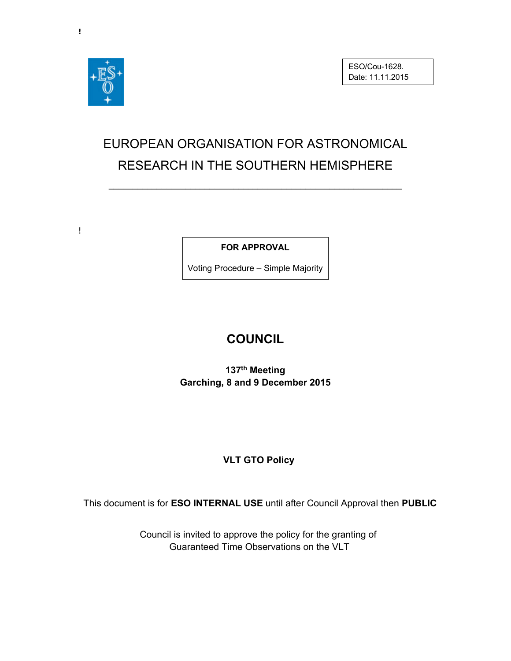

 $\mathbf{I}$ 

# EUROPEAN ORGANISATION FOR ASTRONOMICAL RESEARCH IN THE SOUTHERN HEMISPHERE

\_\_\_\_\_\_\_\_\_\_\_\_\_\_\_\_\_\_\_\_\_\_\_\_\_\_\_\_\_\_\_\_\_\_\_\_\_\_\_\_\_\_\_\_\_\_\_\_\_\_\_\_\_\_\_\_\_\_\_\_\_

**FOR APPROVAL** 

Voting Procedure – Simple Majority

## **COUNCIL**

**137th Meeting Garching, 8 and 9 December 2015** 

### **VLT GTO Policy**

This document is for **ESO INTERNAL USE** until after Council Approval then **PUBLIC** 

Council is invited to approve the policy for the granting of Guaranteed Time Observations on the VLT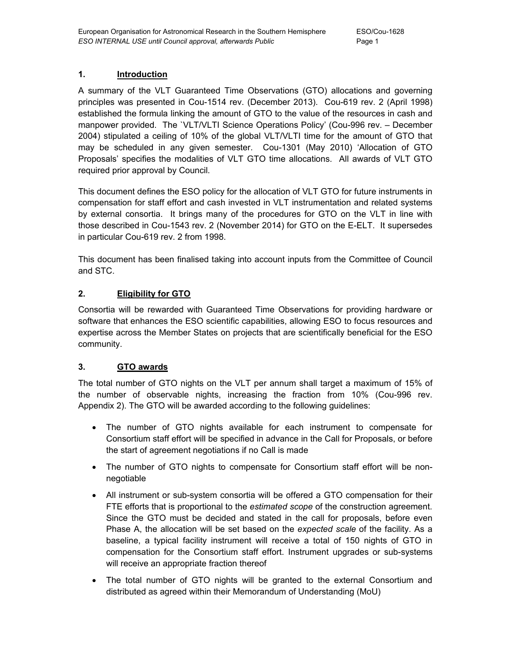#### **1. Introduction**

A summary of the VLT Guaranteed Time Observations (GTO) allocations and governing principles was presented in Cou-1514 rev. (December 2013). Cou-619 rev. 2 (April 1998) established the formula linking the amount of GTO to the value of the resources in cash and manpower provided. The `VLT/VLTI Science Operations Policy' (Cou-996 rev. – December 2004) stipulated a ceiling of 10% of the global VLT/VLTI time for the amount of GTO that may be scheduled in any given semester. Cou-1301 (May 2010) 'Allocation of GTO Proposals' specifies the modalities of VLT GTO time allocations. All awards of VLT GTO required prior approval by Council.

This document defines the ESO policy for the allocation of VLT GTO for future instruments in compensation for staff effort and cash invested in VLT instrumentation and related systems by external consortia. It brings many of the procedures for GTO on the VLT in line with those described in Cou-1543 rev. 2 (November 2014) for GTO on the E-ELT. It supersedes in particular Cou-619 rev. 2 from 1998.

This document has been finalised taking into account inputs from the Committee of Council and STC.

#### **2. Eligibility for GTO**

Consortia will be rewarded with Guaranteed Time Observations for providing hardware or software that enhances the ESO scientific capabilities, allowing ESO to focus resources and expertise across the Member States on projects that are scientifically beneficial for the ESO community.

#### **3. GTO awards**

The total number of GTO nights on the VLT per annum shall target a maximum of 15% of the number of observable nights, increasing the fraction from 10% (Cou-996 rev. Appendix 2). The GTO will be awarded according to the following guidelines:

- The number of GTO nights available for each instrument to compensate for Consortium staff effort will be specified in advance in the Call for Proposals, or before the start of agreement negotiations if no Call is made
- The number of GTO nights to compensate for Consortium staff effort will be nonnegotiable
- All instrument or sub-system consortia will be offered a GTO compensation for their FTE efforts that is proportional to the *estimated scope* of the construction agreement. Since the GTO must be decided and stated in the call for proposals, before even Phase A, the allocation will be set based on the *expected scale* of the facility. As a baseline, a typical facility instrument will receive a total of 150 nights of GTO in compensation for the Consortium staff effort. Instrument upgrades or sub-systems will receive an appropriate fraction thereof
- The total number of GTO nights will be granted to the external Consortium and distributed as agreed within their Memorandum of Understanding (MoU)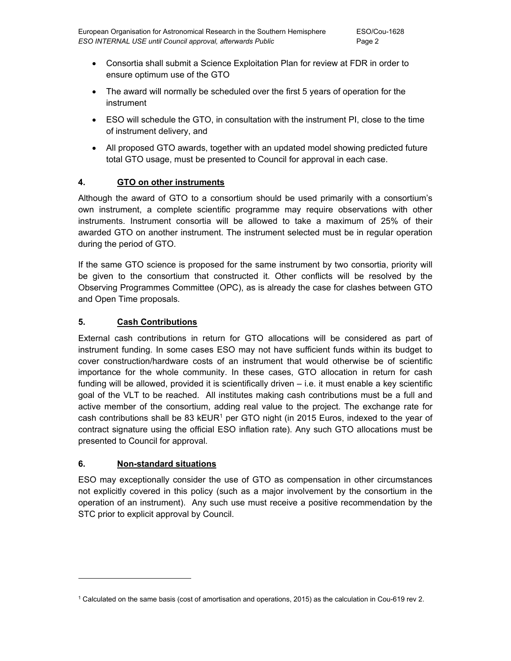- Consortia shall submit a Science Exploitation Plan for review at FDR in order to ensure optimum use of the GTO
- The award will normally be scheduled over the first 5 years of operation for the instrument
- ESO will schedule the GTO, in consultation with the instrument PI, close to the time of instrument delivery, and
- All proposed GTO awards, together with an updated model showing predicted future total GTO usage, must be presented to Council for approval in each case.

#### **4. GTO on other instruments**

Although the award of GTO to a consortium should be used primarily with a consortium's own instrument, a complete scientific programme may require observations with other instruments. Instrument consortia will be allowed to take a maximum of 25% of their awarded GTO on another instrument. The instrument selected must be in regular operation during the period of GTO.

If the same GTO science is proposed for the same instrument by two consortia, priority will be given to the consortium that constructed it. Other conflicts will be resolved by the Observing Programmes Committee (OPC), as is already the case for clashes between GTO and Open Time proposals.

#### **5. Cash Contributions**

External cash contributions in return for GTO allocations will be considered as part of instrument funding. In some cases ESO may not have sufficient funds within its budget to cover construction/hardware costs of an instrument that would otherwise be of scientific importance for the whole community. In these cases, GTO allocation in return for cash funding will be allowed, provided it is scientifically driven – i.e. it must enable a key scientific goal of the VLT to be reached. All institutes making cash contributions must be a full and active member of the consortium, adding real value to the project. The exchange rate for cash contributions shall be 83  $kEUR<sup>1</sup>$  per GTO night (in 2015 Euros, indexed to the year of contract signature using the official ESO inflation rate). Any such GTO allocations must be presented to Council for approval.

#### **6. Non-standard situations**

-

ESO may exceptionally consider the use of GTO as compensation in other circumstances not explicitly covered in this policy (such as a major involvement by the consortium in the operation of an instrument). Any such use must receive a positive recommendation by the STC prior to explicit approval by Council.

<sup>1</sup> Calculated on the same basis (cost of amortisation and operations, 2015) as the calculation in Cou-619 rev 2.